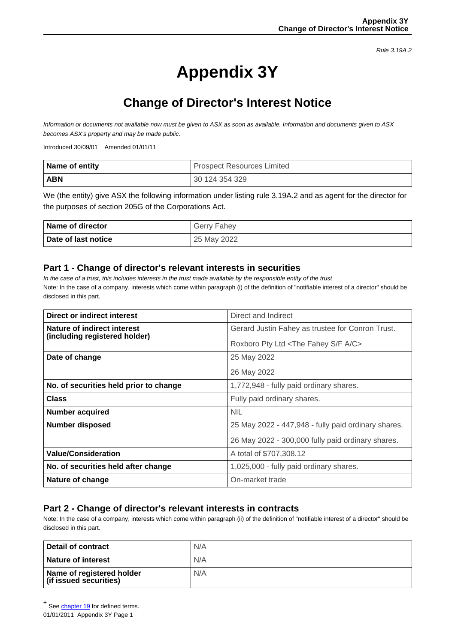Rule 3.19A.2

# **Appendix 3Y**

## **Change of Director's Interest Notice**

Information or documents not available now must be given to ASX as soon as available. Information and documents given to ASX becomes ASX's property and may be made public.

Introduced 30/09/01 Amended 01/01/11

| Name of entity | I Prospect Resources Limited |  |
|----------------|------------------------------|--|
| <b>ABN</b>     | 30 124 354 329               |  |

We (the entity) give ASX the following information under listing rule 3.19A.2 and as agent for the director for the purposes of section 205G of the Corporations Act.

| <b>Name of director</b> | <b>Gerry Fahey</b> |
|-------------------------|--------------------|
| Date of last notice     | 25 May 2022        |

#### **Part 1 - Change of director's relevant interests in securities**

In the case of a trust, this includes interests in the trust made available by the responsible entity of the trust Note: In the case of a company, interests which come within paragraph (i) of the definition of "notifiable interest of a director" should be disclosed in this part.

| Direct or indirect interest                                  | Direct and Indirect                                      |  |
|--------------------------------------------------------------|----------------------------------------------------------|--|
| Nature of indirect interest<br>(including registered holder) | Gerard Justin Fahey as trustee for Conron Trust.         |  |
|                                                              | Roxboro Pty Ltd <the a="" c="" f="" fahey="" s=""></the> |  |
| Date of change                                               | 25 May 2022                                              |  |
|                                                              | 26 May 2022                                              |  |
| No. of securities held prior to change                       | 1,772,948 - fully paid ordinary shares.                  |  |
| <b>Class</b>                                                 | Fully paid ordinary shares.                              |  |
| <b>Number acquired</b>                                       | <b>NIL</b>                                               |  |
| Number disposed                                              | 25 May 2022 - 447,948 - fully paid ordinary shares.      |  |
|                                                              | 26 May 2022 - 300,000 fully paid ordinary shares.        |  |
| <b>Value/Consideration</b>                                   | A total of \$707,308.12                                  |  |
| No. of securities held after change                          | 1,025,000 - fully paid ordinary shares.                  |  |
| Nature of change                                             | On-market trade                                          |  |

### **Part 2 - Change of director's relevant interests in contracts**

Note: In the case of a company, interests which come within paragraph (ii) of the definition of "notifiable interest of a director" should be disclosed in this part.

| Detail of contract                                  | N/A |
|-----------------------------------------------------|-----|
| <b>Nature of interest</b>                           | N/A |
| Name of registered holder<br>(if issued securities) | N/A |

<sup>01/01/2011</sup> Appendix 3Y Page 1